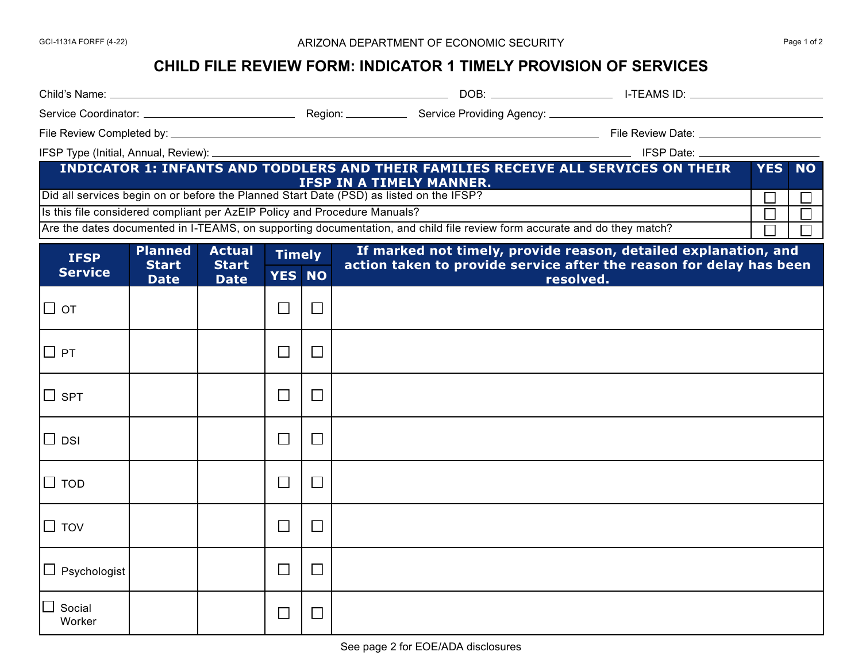## GCI-1131A FORFF (4-22) 
Bage 1 of 2

## **CHILD FILE REVIEW FORM: INDICATOR 1 TIMELY PROVISION OF SERVICES**

| INDICATOR 1: INFANTS AND TODDLERS AND THEIR FAMILIES RECEIVE ALL SERVICES ON THEIR<br>YES NO<br><b>IFSP IN A TIMELY MANNER.</b>    |                                               |                                              |                                |        |                                                                                                                                                     |        |   |
|------------------------------------------------------------------------------------------------------------------------------------|-----------------------------------------------|----------------------------------------------|--------------------------------|--------|-----------------------------------------------------------------------------------------------------------------------------------------------------|--------|---|
| Did all services begin on or before the Planned Start Date (PSD) as listed on the IFSP?                                            |                                               |                                              |                                |        |                                                                                                                                                     | Г      |   |
| Is this file considered compliant per AzEIP Policy and Procedure Manuals?                                                          |                                               |                                              |                                |        |                                                                                                                                                     | $\Box$ | П |
| Are the dates documented in I-TEAMS, on supporting documentation, and child file review form accurate and do they match?<br>$\Box$ |                                               |                                              |                                |        |                                                                                                                                                     |        |   |
| <b>IFSP</b><br><b>Service</b>                                                                                                      | <b>Planned</b><br><b>Start</b><br><b>Date</b> | <b>Actual</b><br><b>Start</b><br><b>Date</b> | <b>Timely</b><br><b>YES NO</b> |        | If marked not timely, provide reason, detailed explanation, and<br>action taken to provide service after the reason for delay has been<br>resolved. |        |   |
| □ от                                                                                                                               |                                               |                                              | $\Box$                         | $\Box$ |                                                                                                                                                     |        |   |
| $\Box$ PT                                                                                                                          |                                               |                                              | $\Box$                         | $\Box$ |                                                                                                                                                     |        |   |
| $\square$ spt                                                                                                                      |                                               |                                              | $\Box$                         | $\Box$ |                                                                                                                                                     |        |   |
| $\Box$ DSI                                                                                                                         |                                               |                                              | $\Box$                         | $\Box$ |                                                                                                                                                     |        |   |
| $\square$ tod                                                                                                                      |                                               |                                              | $\Box$                         | $\Box$ |                                                                                                                                                     |        |   |
| $\square$ TOV                                                                                                                      |                                               |                                              | $\Box$                         | $\Box$ |                                                                                                                                                     |        |   |
| $\Box$ Psychologist                                                                                                                |                                               |                                              | $\Box$                         | ⊔      |                                                                                                                                                     |        |   |
| Social<br>Worker                                                                                                                   |                                               |                                              | $\Box$                         | $\Box$ |                                                                                                                                                     |        |   |